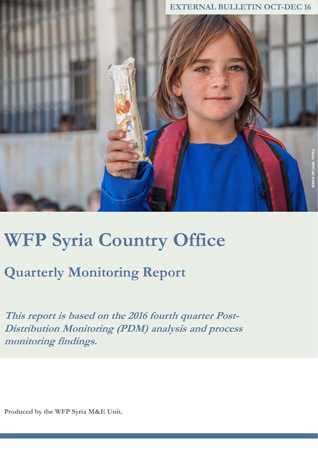

# **WFP Syria Country Office**

## **Quarterly Monitoring Report**

**This report is based on the 2016 fourth quarter Post-Distribution Monitoring (PDM) analysis and process monitoring findings.**

**Produced by the WFP Syria M&E Unit.**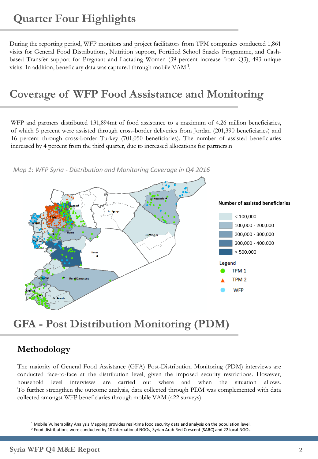During the reporting period, WFP monitors and project facilitators from TPM companies conducted 1,861 visits for General Food Distributions, Nutrition support, Fortified School Snacks Programme, and Cashbased Transfer support for Pregnant and Lactating Women (39 percent increase from Q3), 493 unique visits. In addition, beneficiary data was captured through mobile VAM **<sup>1</sup>** .

## **Coverage of WFP Food Assistance and Monitoring**

WFP and partners distributed 131,894mt of food assistance to a maximum of 4.26 million beneficiaries, of which 5 percent were assisted through cross-border deliveries from Jordan (201,390 beneficiaries) and 16 percent through cross-border Turkey (701,050 beneficiaries). The number of assisted beneficiaries increased by 4 percent from the third quarter, due to increased allocations for partners.n



*Map 1: WFP Syria - Distribution and Monitoring Coverage in Q4 2016* 

## **GFA - Post Distribution Monitoring (PDM)**

#### **Methodology**

The majority of General Food Assistance (GFA) Post-Distribution Monitoring (PDM) interviews are conducted face-to-face at the distribution level, given the imposed security restrictions. However, household level interviews are carried out where and when the situation allows. To further strengthen the outcome analysis, data collected through PDM was complemented with data collected amongst WFP beneficiaries through mobile VAM (422 surveys).

<sup>1</sup> Mobile Vulnerability Analysis Mapping provides real-time food security data and analysis on the population level.

<sup>2</sup> Food distributions were conducted by 10 international NGOs, Syrian Arab Red Crescent (SARC) and 22 local NGOs.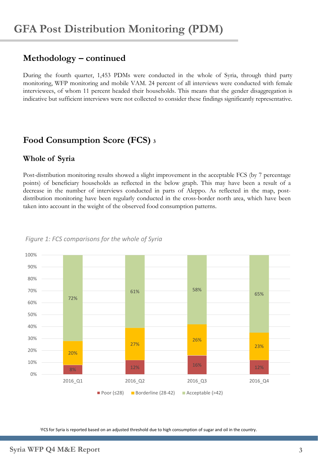#### **Methodology – continued**

During the fourth quarter, 1,453 PDMs were conducted in the whole of Syria, through third party monitoring, WFP monitoring and mobile VAM. 24 percent of all interviews were conducted with female interviewees, of whom 11 percent headed their households. This means that the gender disaggregation is indicative but sufficient interviews were not collected to consider these findings significantly representative.

#### **Food Consumption Score (FCS) <sup>3</sup>**

#### **Whole of Syria**

Post-distribution monitoring results showed a slight improvement in the acceptable FCS (by 7 percentage points) of beneficiary households as reflected in the below graph. This may have been a result of a decrease in the number of interviews conducted in parts of Aleppo. As reflected in the map, postdistribution monitoring have been regularly conducted in the cross-border north area, which have been taken into account in the weight of the observed food consumption patterns.



*Figure 1: FCS comparisons for the whole of Syria*

<sup>3</sup>FCS for Syria is reported based on an adjusted threshold due to high consumption of sugar and oil in the country.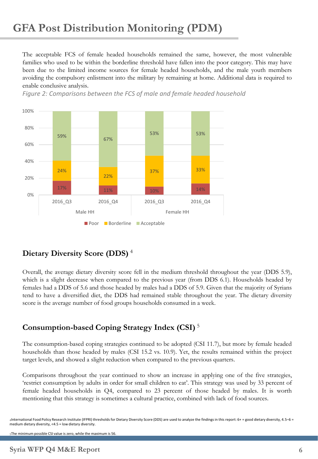The acceptable FCS of female headed households remained the same, however, the most vulnerable families who used to be within the borderline threshold have fallen into the poor category. This may have been due to the limited income sources for female headed households, and the male youth members avoiding the compulsory enlistment into the military by remaining at home. Additional data is required to enable conclusive analysis.

*Figure 2: Comparisons between the FCS of male and female headed household* 



#### **Dietary Diversity Score (DDS)** <sup>4</sup>

Overall, the average dietary diversity score fell in the medium threshold throughout the year (DDS 5.9), which is a slight decrease when compared to the previous year (from DDS 6.1). Households headed by females had a DDS of 5.6 and those headed by males had a DDS of 5.9. Given that the majority of Syrians tend to have a diversified diet, the DDS had remained stable throughout the year. The dietary diversity score is the average number of food groups households consumed in a week.

#### **Consumption-based Coping Strategy Index (CSI)** <sup>5</sup>

The consumption-based coping strategies continued to be adopted (CSI 11.7), but more by female headed households than those headed by males (CSI 15.2 vs. 10.9). Yet, the results remained within the project target levels, and showed a slight reduction when compared to the previous quarters.

Comparisons throughout the year continued to show an increase in applying one of the five strategies, 'restrict consumption by adults in order for small children to eat'. This strategy was used by 33 percent of female headed households in Q4, compared to 23 percent of those headed by males. It is worth mentioning that this strategy is sometimes a cultural practice, combined with lack of food sources.

4International Food Policy Research Institute (IFPRI) thresholds for Dietary Diversity Score (DDS) are used to analyze the findings in this report: 6+ = good dietary diversity, 4.5–6 = medium dietary diversity, <4.5 = low dietary diversity.

5The minimum possible CSI value is zero, while the maximum is 56.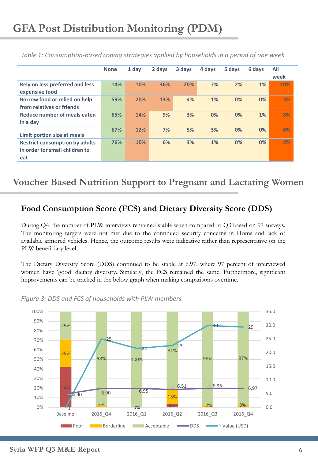|                                                                                | <b>None</b> | 1 day | 2 days | 3 days | 4 days | 5 days | 6 days | All<br>week |
|--------------------------------------------------------------------------------|-------------|-------|--------|--------|--------|--------|--------|-------------|
| Rely on less preferred and less<br>expensive food                              | 14%         | 10%   | 36%    | 20%    | 7%     | 2%     | 1%     | 10%         |
| Borrow food or relied on help<br>from relatives or friends                     | 59%         | 20%   | 13%    | 4%     | 1%     | 0%     | 0%     | 3%          |
| Reduce number of meals eaten<br>in a day                                       | 65%         | 14%   | 9%     | 3%     | 0%     | 0%     | $1\%$  | 8%          |
| Limit portion size at meals                                                    | 67%         | 12%   | 7%     | 5%     | 3%     | 0%     | 0%     | 6%          |
| <b>Restrict consumption by adults</b><br>in order for small children to<br>eat | 76%         | 10%   | 6%     | 3%     | 1%     | 0%     | 0%     | 4%          |

*Table 1: Consumption-based coping strategies applied by households in a period of one week*

#### **Voucher Based Nutrition Support to Pregnant and Lactating Women**

#### **Food Consumption Score (FCS) and Dietary Diversity Score (DDS)**

During Q4, the number of PLW interviews remained stable when compared to Q3 based on 97 surveys. The monitoring targets were not met due to the continued security concerns in Homs and lack of available armored vehicles. Hence, the outcome results were indicative rather than representative on the PLW beneficiary level.

The Dietary Diversity Score (DDS) continued to be stable at 6.97, where 97 percent of interviewed women have 'good' dietary diversity. Similarly, the FCS remained the same. Furthermore, significant improvements can be tracked in the below graph when making comparisons overtime.



*Figure 3: DDS and FCS of households with PLW members*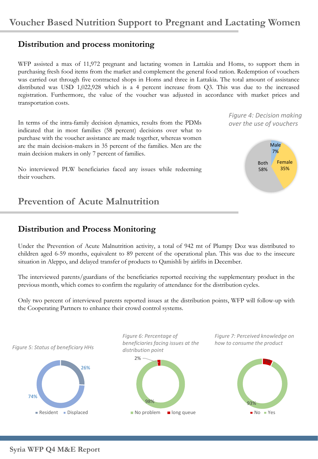#### **Distribution and process monitoring**

WFP assisted a max of 11,972 pregnant and lactating women in Lattakia and Homs, to support them in purchasing fresh food items from the market and complement the general food ration. Redemption of vouchers was carried out through five contracted shops in Homs and three in Lattakia. The total amount of assistance distributed was USD 1,022,928 which is a 4 percent increase from Q3. This was due to the increased registration. Furthermore, the value of the voucher was adjusted in accordance with market prices and transportation costs.

In terms of the intra-family decision dynamics, results from the PDMs over the use of vouchers indicated that in most families (58 percent) decisions over what to purchase with the voucher assistance are made together, whereas women are the main decision-makers in 35 percent of the families. Men are the main decision makers in only 7 percent of families.

No interviewed PLW beneficiaries faced any issues while redeeming their vouchers.

**Prevention of Acute Malnutrition** 

#### **Distribution and Process Monitoring**

Under the Prevention of Acute Malnutrition activity, a total of 942 mt of Plumpy Doz was distributed to children aged 6-59 months, equivalent to 89 percent of the operational plan. This was due to the insecure situation in Aleppo, and delayed transfer of products to Qamishli by airlifts in December.

The interviewed parents/guardians of the beneficiaries reported receiving the supplementary product in the previous month, which comes to confirm the regularity of attendance for the distribution cycles.

Only two percent of interviewed parents reported issues at the distribution points, WFP will follow-up with the Cooperating Partners to enhance their crowd control systems.



*Figure 4: Decision making*